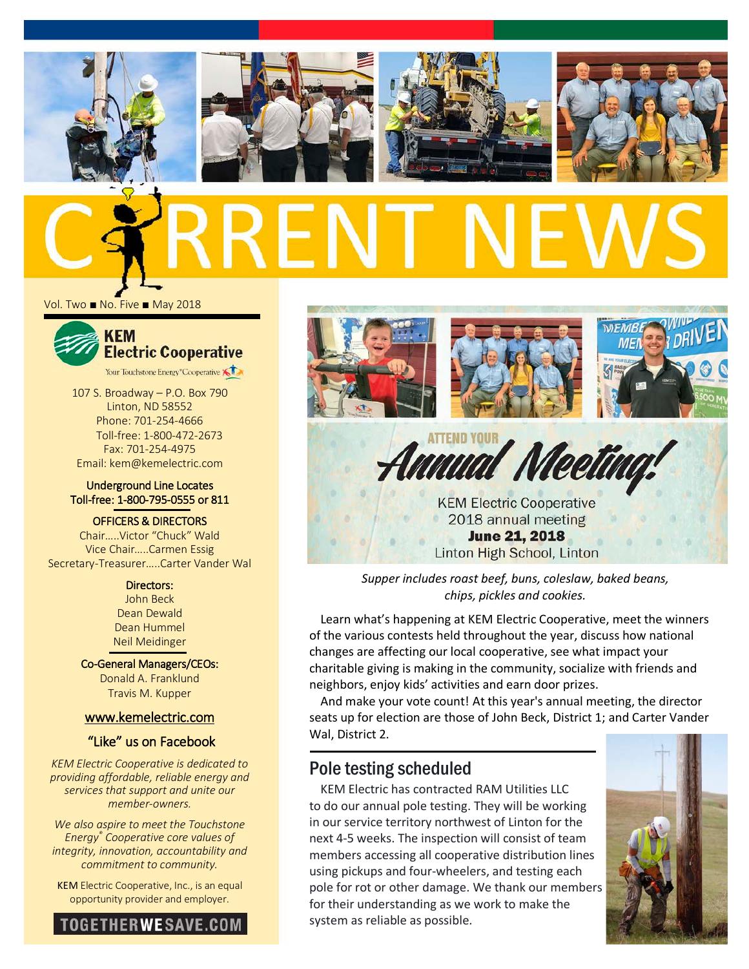







Vol. Two ■ No. Five ■ May 2018



107 S. Broadway – P.O. Box 790 Linton, ND 58552 Phone: 701-254-4666 Toll-free: 1-800-472-2673 Fax: 701-254-4975 Email: kem@kemelectric.com

#### Underground Line Locates Toll-free: 1-800-795-0555 or 811

OFFICERS & DIRECTORS Chair…..Victor "Chuck" Wald Vice Chair…..Carmen Essig Secretary-Treasurer…..Carter Vander Wal

> Directors: John Beck Dean Dewald Dean Hummel Neil Meidinger

Co-General Managers/CEOs: Donald A. Franklund Travis M. Kupper

### [www.kemelectric.com](http://www.kemelectric.com/)

## "Like" us on Facebook

*KEM Electric Cooperative is dedicated to providing affordable, reliable energy and services that support and unite our member-owners.*

*We also aspire to meet the Touchstone Energy® Cooperative core values of integrity, innovation, accountability and commitment to community.*

KEM Electric Cooperative, Inc., is an equal opportunity provider and employer.





**KEM Electric Cooperative** 2018 annual meeting **June 21, 2018** Linton High School, Linton

*Supper includes roast beef, buns, coleslaw, baked beans, chips, pickles and cookies.*

Learn what's happening at KEM Electric Cooperative, meet the winners of the various contests held throughout the year, discuss how national changes are affecting our local cooperative, see what impact your charitable giving is making in the community, socialize with friends and neighbors, enjoy kids' activities and earn door prizes.

And make your vote count! At this year's annual meeting, the director seats up for election are those of John Beck, District 1; and Carter Vander Wal, District 2.

## Pole testing scheduled

KEM Electric has contracted RAM Utilities LLC to do our annual pole testing. They will be working in our service territory northwest of Linton for the next 4-5 weeks. The inspection will consist of team members accessing all cooperative distribution lines using pickups and four-wheelers, and testing each pole for rot or other damage. We thank our members for their understanding as we work to make the system as reliable as possible.